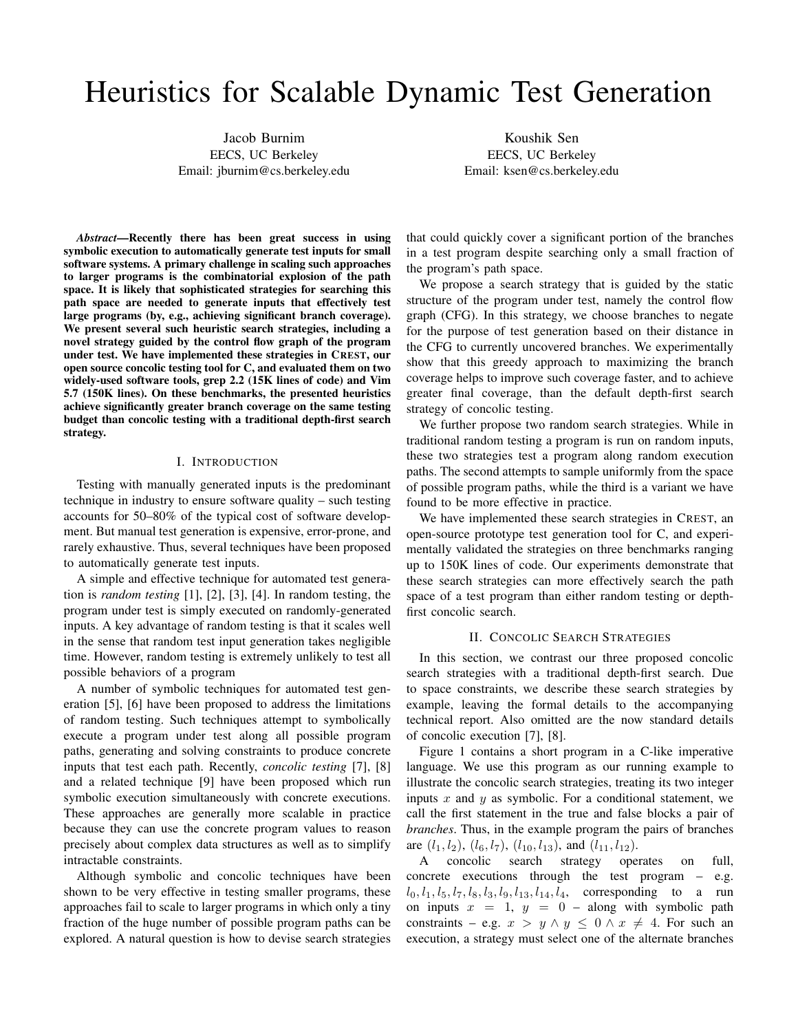# Heuristics for Scalable Dynamic Test Generation

Jacob Burnim EECS, UC Berkeley Email: jburnim@cs.berkeley.edu

Koushik Sen EECS, UC Berkeley Email: ksen@cs.berkeley.edu

*Abstract*—Recently there has been great success in using symbolic execution to automatically generate test inputs for small software systems. A primary challenge in scaling such approaches to larger programs is the combinatorial explosion of the path space. It is likely that sophisticated strategies for searching this path space are needed to generate inputs that effectively test large programs (by, e.g., achieving significant branch coverage). We present several such heuristic search strategies, including a novel strategy guided by the control flow graph of the program under test. We have implemented these strategies in CREST, our open source concolic testing tool for C, and evaluated them on two widely-used software tools, grep 2.2 (15K lines of code) and Vim 5.7 (150K lines). On these benchmarks, the presented heuristics achieve significantly greater branch coverage on the same testing budget than concolic testing with a traditional depth-first search strategy.

## I. INTRODUCTION

Testing with manually generated inputs is the predominant technique in industry to ensure software quality – such testing accounts for 50–80% of the typical cost of software development. But manual test generation is expensive, error-prone, and rarely exhaustive. Thus, several techniques have been proposed to automatically generate test inputs.

A simple and effective technique for automated test generation is *random testing* [1], [2], [3], [4]. In random testing, the program under test is simply executed on randomly-generated inputs. A key advantage of random testing is that it scales well in the sense that random test input generation takes negligible time. However, random testing is extremely unlikely to test all possible behaviors of a program

A number of symbolic techniques for automated test generation [5], [6] have been proposed to address the limitations of random testing. Such techniques attempt to symbolically execute a program under test along all possible program paths, generating and solving constraints to produce concrete inputs that test each path. Recently, *concolic testing* [7], [8] and a related technique [9] have been proposed which run symbolic execution simultaneously with concrete executions. These approaches are generally more scalable in practice because they can use the concrete program values to reason precisely about complex data structures as well as to simplify intractable constraints.

Although symbolic and concolic techniques have been shown to be very effective in testing smaller programs, these approaches fail to scale to larger programs in which only a tiny fraction of the huge number of possible program paths can be explored. A natural question is how to devise search strategies that could quickly cover a significant portion of the branches in a test program despite searching only a small fraction of the program's path space.

We propose a search strategy that is guided by the static structure of the program under test, namely the control flow graph (CFG). In this strategy, we choose branches to negate for the purpose of test generation based on their distance in the CFG to currently uncovered branches. We experimentally show that this greedy approach to maximizing the branch coverage helps to improve such coverage faster, and to achieve greater final coverage, than the default depth-first search strategy of concolic testing.

We further propose two random search strategies. While in traditional random testing a program is run on random inputs, these two strategies test a program along random execution paths. The second attempts to sample uniformly from the space of possible program paths, while the third is a variant we have found to be more effective in practice.

We have implemented these search strategies in CREST, an open-source prototype test generation tool for C, and experimentally validated the strategies on three benchmarks ranging up to 150K lines of code. Our experiments demonstrate that these search strategies can more effectively search the path space of a test program than either random testing or depthfirst concolic search.

## II. CONCOLIC SEARCH STRATEGIES

In this section, we contrast our three proposed concolic search strategies with a traditional depth-first search. Due to space constraints, we describe these search strategies by example, leaving the formal details to the accompanying technical report. Also omitted are the now standard details of concolic execution [7], [8].

Figure 1 contains a short program in a C-like imperative language. We use this program as our running example to illustrate the concolic search strategies, treating its two integer inputs  $x$  and  $y$  as symbolic. For a conditional statement, we call the first statement in the true and false blocks a pair of *branches*. Thus, in the example program the pairs of branches are  $(l_1, l_2)$ ,  $(l_6, l_7)$ ,  $(l_{10}, l_{13})$ , and  $(l_{11}, l_{12})$ .

A concolic search strategy operates on full, concrete executions through the test program – e.g.  $l_0, l_1, l_5, l_7, l_8, l_3, l_9, l_{13}, l_{14}, l_4$ , corresponding to a run on inputs  $x = 1$ ,  $y = 0$  – along with symbolic path constraints – e.g.  $x > y \land y \leq 0 \land x \neq 4$ . For such an execution, a strategy must select one of the alternate branches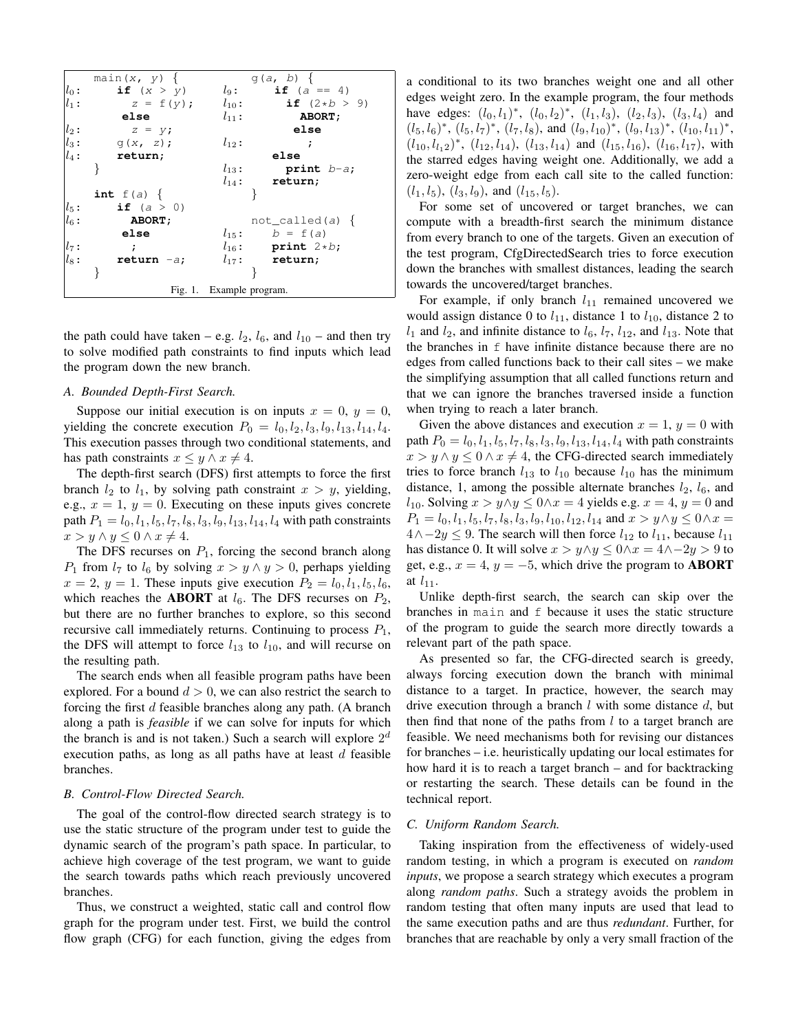|         | main(x, y)    | $q(a, b)$ {                           |
|---------|---------------|---------------------------------------|
| $l_0$ : | if $(x > y)$  | $l_9$ : if $(a == 4)$                 |
| $l_1$ : | $z = f(y)$ ;  | $l_{10}$ :<br><b>if</b> $(2 * b > 9)$ |
|         | else          | $l_{11}$ :<br>ABORT;                  |
| $l_2$ : | $z = y;$      | else                                  |
| $l_3$ : | q(x, z);      | $l_{12}$ :                            |
| $l_4$ : | return;       | else                                  |
|         |               | $l_{13}$ :<br>print $b-a$ ;           |
|         |               | $l_{14}$ : return;                    |
|         | int $f(a)$ {  |                                       |
| $l_5$ : | if $(a > 0)$  |                                       |
| $l_6$ : | <b>ABORT;</b> | $not$ <sub>called</sub> (a) {         |
|         | else          | $l_{15}$ : $b = f(a)$                 |
| $l_7$ : |               | $l_{16}$ : print $2 * b$ ;            |
| $l_8$ : | return $-a$ ; | $l_{17}$ : return;                    |
|         |               |                                       |
|         |               | Fig. 1. Example program.              |

the path could have taken – e.g.  $l_2$ ,  $l_6$ , and  $l_{10}$  – and then try to solve modified path constraints to find inputs which lead the program down the new branch.

## *A. Bounded Depth-First Search.*

Suppose our initial execution is on inputs  $x = 0$ ,  $y = 0$ , yielding the concrete execution  $P_0 = l_0, l_2, l_3, l_9, l_{13}, l_{14}, l_4$ . This execution passes through two conditional statements, and has path constraints  $x \leq y \land x \neq 4$ .

The depth-first search (DFS) first attempts to force the first branch  $l_2$  to  $l_1$ , by solving path constraint  $x > y$ , yielding, e.g.,  $x = 1$ ,  $y = 0$ . Executing on these inputs gives concrete path  $P_1 = l_0, l_1, l_5, l_7, l_8, l_3, l_9, l_{13}, l_{14}, l_4$  with path constraints  $x > y \land y \leq 0 \land x \neq 4.$ 

The DFS recurses on  $P_1$ , forcing the second branch along  $P_1$  from  $l_7$  to  $l_6$  by solving  $x > y \land y > 0$ , perhaps yielding  $x = 2$ ,  $y = 1$ . These inputs give execution  $P_2 = l_0, l_1, l_5, l_6$ , which reaches the **ABORT** at  $l_6$ . The DFS recurses on  $P_2$ , but there are no further branches to explore, so this second recursive call immediately returns. Continuing to process  $P_1$ , the DFS will attempt to force  $l_{13}$  to  $l_{10}$ , and will recurse on the resulting path.

The search ends when all feasible program paths have been explored. For a bound  $d > 0$ , we can also restrict the search to forcing the first  $d$  feasible branches along any path. (A branch along a path is *feasible* if we can solve for inputs for which the branch is and is not taken.) Such a search will explore  $2^d$ execution paths, as long as all paths have at least  $d$  feasible branches.

## *B. Control-Flow Directed Search.*

The goal of the control-flow directed search strategy is to use the static structure of the program under test to guide the dynamic search of the program's path space. In particular, to achieve high coverage of the test program, we want to guide the search towards paths which reach previously uncovered branches.

Thus, we construct a weighted, static call and control flow graph for the program under test. First, we build the control flow graph (CFG) for each function, giving the edges from a conditional to its two branches weight one and all other edges weight zero. In the example program, the four methods have edges:  $(l_0, l_1)^*$ ,  $(l_0, l_2)^*$ ,  $(l_1, l_3)$ ,  $(l_2, l_3)$ ,  $(l_3, l_4)$  and  $(l_5, l_6)^*, (l_5, l_7)^*, (l_7, l_8)$ , and  $(l_9, l_{10})^*, (l_9, l_{13})^*, (l_{10}, l_{11})^*,$  $(l_{10}, l_{l_12})^*$ ,  $(l_{12}, l_{14})$ ,  $(l_{13}, l_{14})$  and  $(l_{15}, l_{16})$ ,  $(l_{16}, l_{17})$ , with the starred edges having weight one. Additionally, we add a zero-weight edge from each call site to the called function:  $(l_1, l_5), (l_3, l_9),$  and  $(l_{15}, l_5).$ 

For some set of uncovered or target branches, we can compute with a breadth-first search the minimum distance from every branch to one of the targets. Given an execution of the test program, CfgDirectedSearch tries to force execution down the branches with smallest distances, leading the search towards the uncovered/target branches.

For example, if only branch  $l_{11}$  remained uncovered we would assign distance 0 to  $l_{11}$ , distance 1 to  $l_{10}$ , distance 2 to  $l_1$  and  $l_2$ , and infinite distance to  $l_6$ ,  $l_7$ ,  $l_{12}$ , and  $l_{13}$ . Note that the branches in f have infinite distance because there are no edges from called functions back to their call sites – we make the simplifying assumption that all called functions return and that we can ignore the branches traversed inside a function when trying to reach a later branch.

Given the above distances and execution  $x = 1$ ,  $y = 0$  with path  $P_0 = l_0, l_1, l_5, l_7, l_8, l_3, l_9, l_{13}, l_{14}, l_4$  with path constraints  $x > y \land y \leq 0 \land x \neq 4$ , the CFG-directed search immediately tries to force branch  $l_{13}$  to  $l_{10}$  because  $l_{10}$  has the minimum distance, 1, among the possible alternate branches  $l_2$ ,  $l_6$ , and l<sub>10</sub>. Solving  $x > y \land y \leq 0 \land x = 4$  yields e.g.  $x = 4$ ,  $y = 0$  and  $P_1 = l_0, l_1, l_5, l_7, l_8, l_3, l_9, l_{10}, l_{12}, l_{14} \text{ and } x > y \land y \leq 0 \land x =$  $4 \wedge -2y \leq 9$ . The search will then force  $l_{12}$  to  $l_{11}$ , because  $l_{11}$ has distance 0. It will solve  $x > y \land y \leq 0 \land x = 4 \land -2y > 9$  to get, e.g.,  $x = 4$ ,  $y = -5$ , which drive the program to **ABORT** at  $l_{11}$ .

Unlike depth-first search, the search can skip over the branches in main and f because it uses the static structure of the program to guide the search more directly towards a relevant part of the path space.

As presented so far, the CFG-directed search is greedy, always forcing execution down the branch with minimal distance to a target. In practice, however, the search may drive execution through a branch  $l$  with some distance  $d$ , but then find that none of the paths from  $l$  to a target branch are feasible. We need mechanisms both for revising our distances for branches – i.e. heuristically updating our local estimates for how hard it is to reach a target branch – and for backtracking or restarting the search. These details can be found in the technical report.

## *C. Uniform Random Search.*

Taking inspiration from the effectiveness of widely-used random testing, in which a program is executed on *random inputs*, we propose a search strategy which executes a program along *random paths*. Such a strategy avoids the problem in random testing that often many inputs are used that lead to the same execution paths and are thus *redundant*. Further, for branches that are reachable by only a very small fraction of the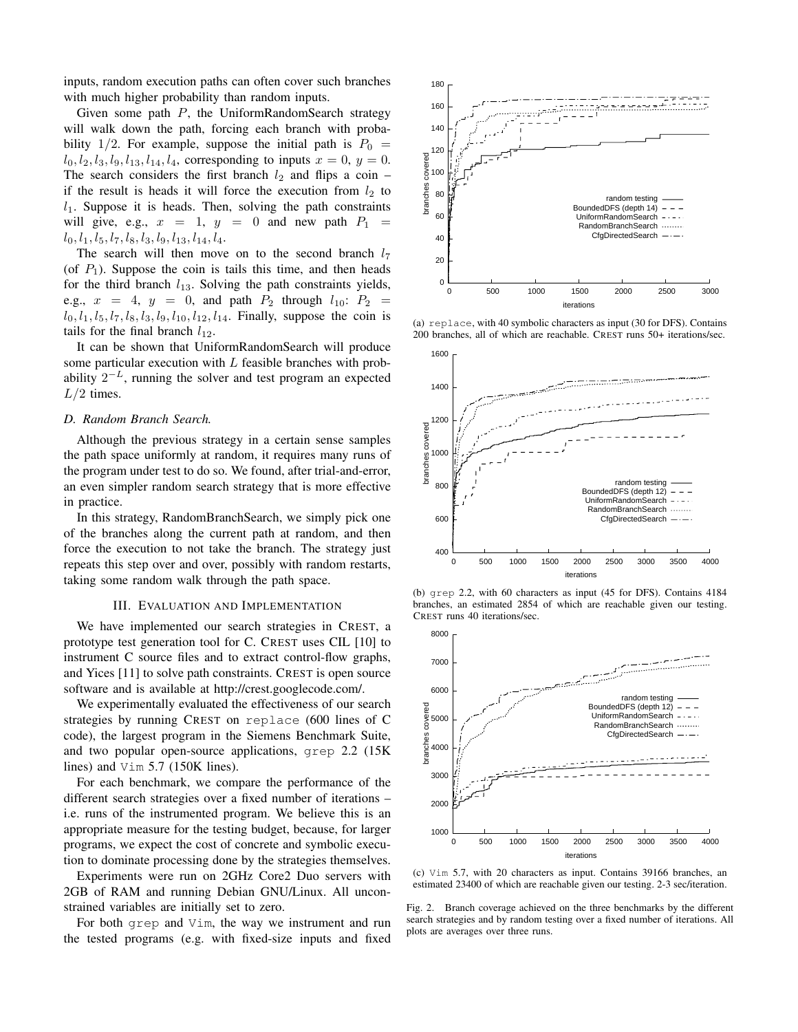inputs, random execution paths can often cover such branches with much higher probability than random inputs.

Given some path  $P$ , the UniformRandomSearch strategy will walk down the path, forcing each branch with probability 1/2. For example, suppose the initial path is  $P_0 =$  $l_0, l_2, l_3, l_9, l_{13}, l_{14}, l_4$ , corresponding to inputs  $x = 0, y = 0$ . The search considers the first branch  $l_2$  and flips a coin – if the result is heads it will force the execution from  $l_2$  to  $l_1$ . Suppose it is heads. Then, solving the path constraints will give, e.g.,  $x = 1$ ,  $y = 0$  and new path  $P_1 =$  $l_0, l_1, l_5, l_7, l_8, l_3, l_9, l_{13}, l_{14}, l_4.$ 

The search will then move on to the second branch  $l_7$ (of  $P_1$ ). Suppose the coin is tails this time, and then heads for the third branch  $l_{13}$ . Solving the path constraints yields, e.g.,  $x = 4$ ,  $y = 0$ , and path  $P_2$  through  $l_{10}$ :  $P_2 =$  $l_0, l_1, l_5, l_7, l_8, l_3, l_9, l_{10}, l_{12}, l_{14}$ . Finally, suppose the coin is tails for the final branch  $l_{12}$ .

It can be shown that UniformRandomSearch will produce some particular execution with  $L$  feasible branches with probability  $2^{-L}$ , running the solver and test program an expected  $L/2$  times.

## *D. Random Branch Search.*

Although the previous strategy in a certain sense samples the path space uniformly at random, it requires many runs of the program under test to do so. We found, after trial-and-error, an even simpler random search strategy that is more effective in practice.

In this strategy, RandomBranchSearch, we simply pick one of the branches along the current path at random, and then force the execution to not take the branch. The strategy just repeats this step over and over, possibly with random restarts, taking some random walk through the path space.

#### III. EVALUATION AND IMPLEMENTATION

We have implemented our search strategies in CREST, a prototype test generation tool for C. CREST uses CIL [10] to instrument C source files and to extract control-flow graphs, and Yices [11] to solve path constraints. CREST is open source software and is available at http://crest.googlecode.com/.

We experimentally evaluated the effectiveness of our search strategies by running CREST on replace (600 lines of C code), the largest program in the Siemens Benchmark Suite, and two popular open-source applications, grep 2.2 (15K lines) and Vim 5.7 (150K lines).

For each benchmark, we compare the performance of the different search strategies over a fixed number of iterations – i.e. runs of the instrumented program. We believe this is an appropriate measure for the testing budget, because, for larger programs, we expect the cost of concrete and symbolic execution to dominate processing done by the strategies themselves.

Experiments were run on 2GHz Core2 Duo servers with 2GB of RAM and running Debian GNU/Linux. All unconstrained variables are initially set to zero.

For both grep and Vim, the way we instrument and run the tested programs (e.g. with fixed-size inputs and fixed



(a) replace, with 40 symbolic characters as input (30 for DFS). Contains 200 branches, all of which are reachable. CREST runs 50+ iterations/sec.



(b) grep 2.2, with 60 characters as input (45 for DFS). Contains 4184 branches, an estimated 2854 of which are reachable given our testing. CREST runs 40 iterations/sec.



(c) Vim 5.7, with 20 characters as input. Contains 39166 branches, an estimated 23400 of which are reachable given our testing. 2-3 sec/iteration.

Fig. 2. Branch coverage achieved on the three benchmarks by the different search strategies and by random testing over a fixed number of iterations. All plots are averages over three runs.